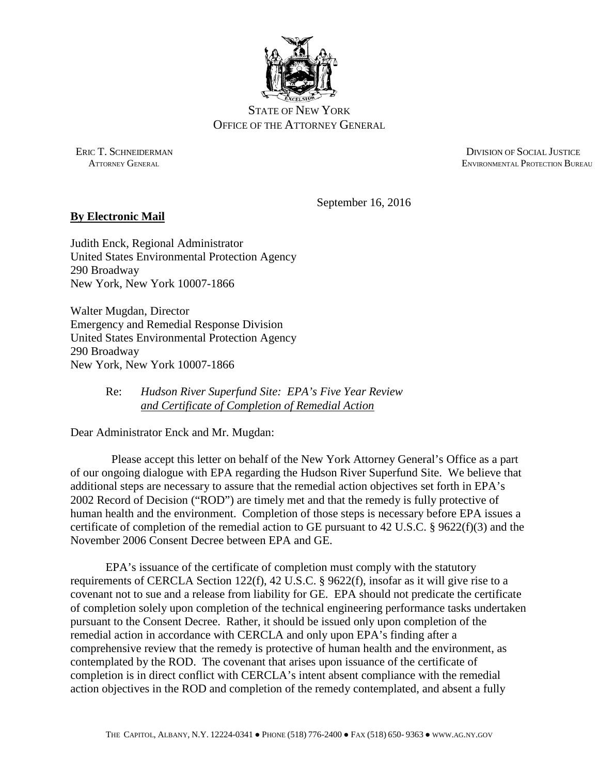

# STATE OF NEW YORK OFFICE OF THE ATTORNEY GENERAL

ERIC T. SCHNEIDERMAN DIVISION OF SOCIAL JUSTICE ATTORNEY GENERAL ENVIRONMENTAL PROTECTION BUREAU

September 16, 2016

# **By Electronic Mail**

Judith Enck, Regional Administrator United States Environmental Protection Agency 290 Broadway New York, New York 10007-1866

Walter Mugdan, Director Emergency and Remedial Response Division United States Environmental Protection Agency 290 Broadway New York, New York 10007-1866

# Re: *Hudson River Superfund Site: EPA's Five Year Review and Certificate of Completion of Remedial Action*

Dear Administrator Enck and Mr. Mugdan:

 Please accept this letter on behalf of the New York Attorney General's Office as a part of our ongoing dialogue with EPA regarding the Hudson River Superfund Site. We believe that additional steps are necessary to assure that the remedial action objectives set forth in EPA's 2002 Record of Decision ("ROD") are timely met and that the remedy is fully protective of human health and the environment. Completion of those steps is necessary before EPA issues a certificate of completion of the remedial action to GE pursuant to 42 U.S.C. § 9622(f)(3) and the November 2006 Consent Decree between EPA and GE.

EPA's issuance of the certificate of completion must comply with the statutory requirements of CERCLA Section 122(f), 42 U.S.C. § 9622(f), insofar as it will give rise to a covenant not to sue and a release from liability for GE. EPA should not predicate the certificate of completion solely upon completion of the technical engineering performance tasks undertaken pursuant to the Consent Decree. Rather, it should be issued only upon completion of the remedial action in accordance with CERCLA and only upon EPA's finding after a comprehensive review that the remedy is protective of human health and the environment, as contemplated by the ROD. The covenant that arises upon issuance of the certificate of completion is in direct conflict with CERCLA's intent absent compliance with the remedial action objectives in the ROD and completion of the remedy contemplated, and absent a fully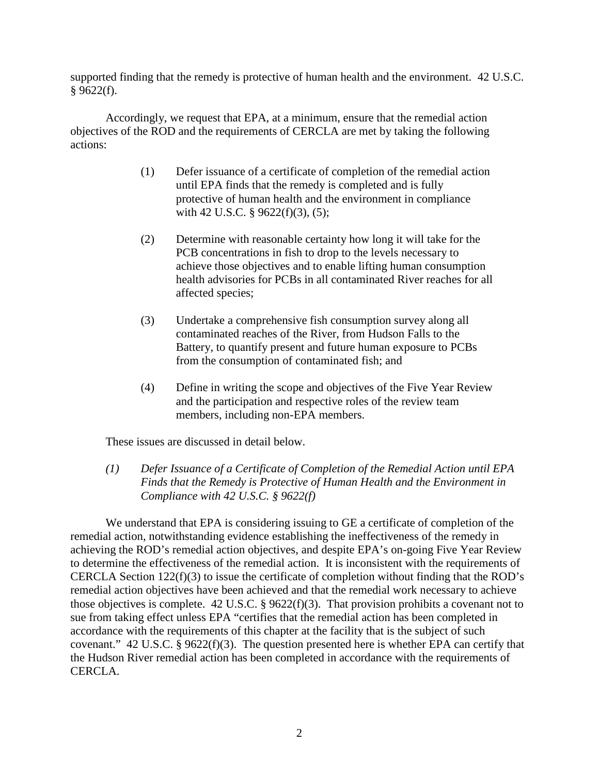supported finding that the remedy is protective of human health and the environment. 42 U.S.C.  $§$  9622(f).

Accordingly, we request that EPA, at a minimum, ensure that the remedial action objectives of the ROD and the requirements of CERCLA are met by taking the following actions:

- (1) Defer issuance of a certificate of completion of the remedial action until EPA finds that the remedy is completed and is fully protective of human health and the environment in compliance with 42 U.S.C. § 9622(f)(3), (5);
- (2) Determine with reasonable certainty how long it will take for the PCB concentrations in fish to drop to the levels necessary to achieve those objectives and to enable lifting human consumption health advisories for PCBs in all contaminated River reaches for all affected species;
- (3) Undertake a comprehensive fish consumption survey along all contaminated reaches of the River, from Hudson Falls to the Battery, to quantify present and future human exposure to PCBs from the consumption of contaminated fish; and
- (4) Define in writing the scope and objectives of the Five Year Review and the participation and respective roles of the review team members, including non-EPA members.

These issues are discussed in detail below.

*(1) Defer Issuance of a Certificate of Completion of the Remedial Action until EPA Finds that the Remedy is Protective of Human Health and the Environment in Compliance with 42 U.S.C. § 9622(f)* 

 We understand that EPA is considering issuing to GE a certificate of completion of the remedial action, notwithstanding evidence establishing the ineffectiveness of the remedy in achieving the ROD's remedial action objectives, and despite EPA's on-going Five Year Review to determine the effectiveness of the remedial action. It is inconsistent with the requirements of CERCLA Section 122(f)(3) to issue the certificate of completion without finding that the ROD's remedial action objectives have been achieved and that the remedial work necessary to achieve those objectives is complete. 42 U.S.C. § 9622(f)(3). That provision prohibits a covenant not to sue from taking effect unless EPA "certifies that the remedial action has been completed in accordance with the requirements of this chapter at the facility that is the subject of such covenant." 42 U.S.C. § 9622(f)(3). The question presented here is whether EPA can certify that the Hudson River remedial action has been completed in accordance with the requirements of CERCLA.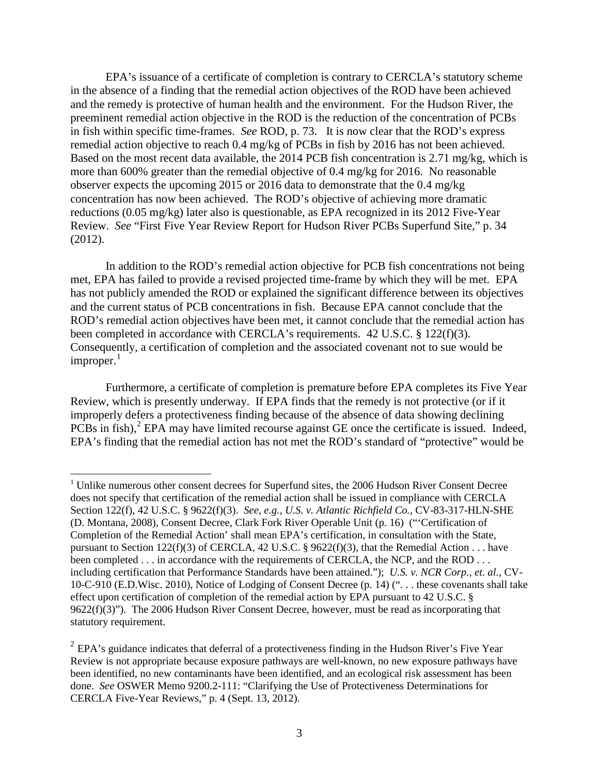EPA's issuance of a certificate of completion is contrary to CERCLA's statutory scheme in the absence of a finding that the remedial action objectives of the ROD have been achieved and the remedy is protective of human health and the environment. For the Hudson River, the preeminent remedial action objective in the ROD is the reduction of the concentration of PCBs in fish within specific time-frames. *See* ROD, p. 73. It is now clear that the ROD's express remedial action objective to reach 0.4 mg/kg of PCBs in fish by 2016 has not been achieved. Based on the most recent data available, the 2014 PCB fish concentration is 2.71 mg/kg, which is more than 600% greater than the remedial objective of 0.4 mg/kg for 2016. No reasonable observer expects the upcoming 2015 or 2016 data to demonstrate that the 0.4 mg/kg concentration has now been achieved. The ROD's objective of achieving more dramatic reductions (0.05 mg/kg) later also is questionable, as EPA recognized in its 2012 Five-Year Review. *See* "First Five Year Review Report for Hudson River PCBs Superfund Site," p. 34 (2012).

In addition to the ROD's remedial action objective for PCB fish concentrations not being met, EPA has failed to provide a revised projected time-frame by which they will be met. EPA has not publicly amended the ROD or explained the significant difference between its objectives and the current status of PCB concentrations in fish. Because EPA cannot conclude that the ROD's remedial action objectives have been met, it cannot conclude that the remedial action has been completed in accordance with CERCLA's requirements. 42 U.S.C. § 122(f)(3). Consequently, a certification of completion and the associated covenant not to sue would be  $improper.<sup>1</sup>$ 

Furthermore, a certificate of completion is premature before EPA completes its Five Year Review, which is presently underway. If EPA finds that the remedy is not protective (or if it improperly defers a protectiveness finding because of the absence of data showing declining  $PCBs$  in fish), $^2$  EPA may have limited recourse against GE once the certificate is issued. Indeed, EPA's finding that the remedial action has not met the ROD's standard of "protective" would be

 $\overline{a}$ 

<sup>&</sup>lt;sup>1</sup> Unlike numerous other consent decrees for Superfund sites, the 2006 Hudson River Consent Decree does not specify that certification of the remedial action shall be issued in compliance with CERCLA Section 122(f), 42 U.S.C. § 9622(f)(3). *See, e.g., U.S. v. Atlantic Richfield Co.*, CV-83-317-HLN-SHE (D. Montana, 2008), Consent Decree, Clark Fork River Operable Unit (p. 16) ("'Certification of Completion of the Remedial Action' shall mean EPA's certification, in consultation with the State, pursuant to Section 122(f)(3) of CERCLA, 42 U.S.C. § 9622(f)(3), that the Remedial Action . . . have been completed . . . in accordance with the requirements of CERCLA, the NCP, and the ROD . . . including certification that Performance Standards have been attained."); *U.S. v. NCR Corp., et. al.,* CV-10-C-910 (E.D.Wisc. 2010), Notice of Lodging of Consent Decree (p. 14) (". . . these covenants shall take effect upon certification of completion of the remedial action by EPA pursuant to 42 U.S.C. § 9622(f)(3)"). The 2006 Hudson River Consent Decree, however, must be read as incorporating that statutory requirement.

 $2$  EPA's guidance indicates that deferral of a protectiveness finding in the Hudson River's Five Year Review is not appropriate because exposure pathways are well-known, no new exposure pathways have been identified, no new contaminants have been identified, and an ecological risk assessment has been done. *See* OSWER Memo 9200.2-111: "Clarifying the Use of Protectiveness Determinations for CERCLA Five-Year Reviews," p. 4 (Sept. 13, 2012).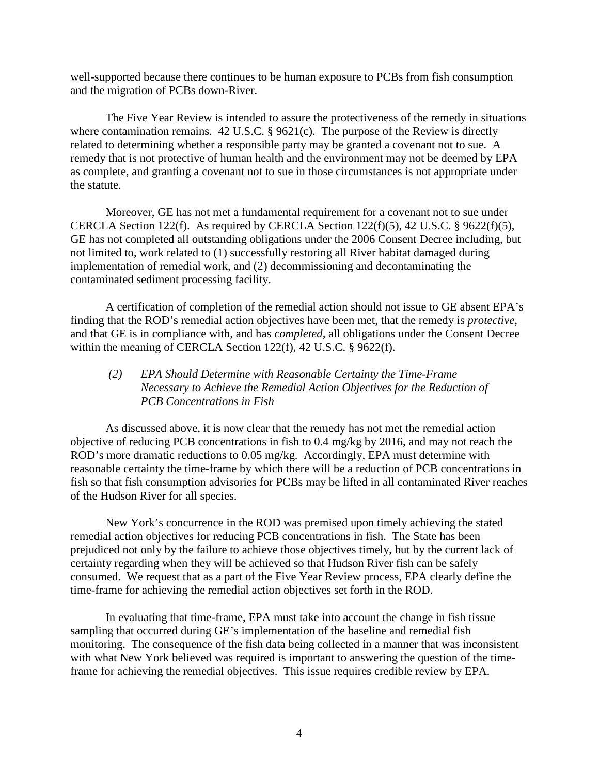well-supported because there continues to be human exposure to PCBs from fish consumption and the migration of PCBs down-River.

The Five Year Review is intended to assure the protectiveness of the remedy in situations where contamination remains. 42 U.S.C. § 9621(c). The purpose of the Review is directly related to determining whether a responsible party may be granted a covenant not to sue. A remedy that is not protective of human health and the environment may not be deemed by EPA as complete, and granting a covenant not to sue in those circumstances is not appropriate under the statute.

Moreover, GE has not met a fundamental requirement for a covenant not to sue under CERCLA Section 122(f). As required by CERCLA Section 122(f)(5), 42 U.S.C. § 9622(f)(5), GE has not completed all outstanding obligations under the 2006 Consent Decree including, but not limited to, work related to (1) successfully restoring all River habitat damaged during implementation of remedial work, and (2) decommissioning and decontaminating the contaminated sediment processing facility.

A certification of completion of the remedial action should not issue to GE absent EPA's finding that the ROD's remedial action objectives have been met, that the remedy is *protective,*  and that GE is in compliance with, and has *completed,* all obligations under the Consent Decree within the meaning of CERCLA Section 122(f), 42 U.S.C. § 9622(f).

# *(2) EPA Should Determine with Reasonable Certainty the Time-Frame Necessary to Achieve the Remedial Action Objectives for the Reduction of PCB Concentrations in Fish*

 As discussed above, it is now clear that the remedy has not met the remedial action objective of reducing PCB concentrations in fish to 0.4 mg/kg by 2016, and may not reach the ROD's more dramatic reductions to 0.05 mg/kg. Accordingly, EPA must determine with reasonable certainty the time-frame by which there will be a reduction of PCB concentrations in fish so that fish consumption advisories for PCBs may be lifted in all contaminated River reaches of the Hudson River for all species.

 New York's concurrence in the ROD was premised upon timely achieving the stated remedial action objectives for reducing PCB concentrations in fish. The State has been prejudiced not only by the failure to achieve those objectives timely, but by the current lack of certainty regarding when they will be achieved so that Hudson River fish can be safely consumed. We request that as a part of the Five Year Review process, EPA clearly define the time-frame for achieving the remedial action objectives set forth in the ROD.

 In evaluating that time-frame, EPA must take into account the change in fish tissue sampling that occurred during GE's implementation of the baseline and remedial fish monitoring. The consequence of the fish data being collected in a manner that was inconsistent with what New York believed was required is important to answering the question of the timeframe for achieving the remedial objectives. This issue requires credible review by EPA.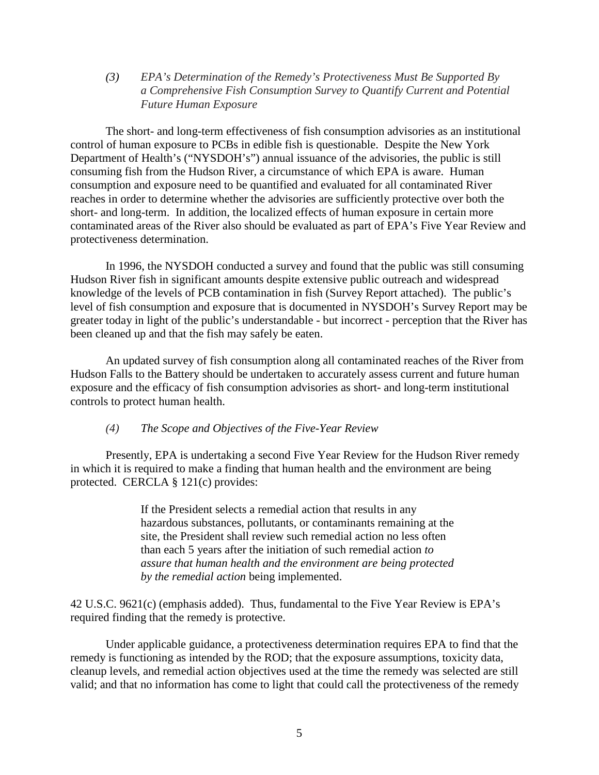*(3) EPA's Determination of the Remedy's Protectiveness Must Be Supported By a Comprehensive Fish Consumption Survey to Quantify Current and Potential Future Human Exposure* 

The short- and long-term effectiveness of fish consumption advisories as an institutional control of human exposure to PCBs in edible fish is questionable. Despite the New York Department of Health's ("NYSDOH's") annual issuance of the advisories, the public is still consuming fish from the Hudson River, a circumstance of which EPA is aware. Human consumption and exposure need to be quantified and evaluated for all contaminated River reaches in order to determine whether the advisories are sufficiently protective over both the short- and long-term. In addition, the localized effects of human exposure in certain more contaminated areas of the River also should be evaluated as part of EPA's Five Year Review and protectiveness determination.

In 1996, the NYSDOH conducted a survey and found that the public was still consuming Hudson River fish in significant amounts despite extensive public outreach and widespread knowledge of the levels of PCB contamination in fish (Survey Report attached). The public's level of fish consumption and exposure that is documented in NYSDOH's Survey Report may be greater today in light of the public's understandable - but incorrect - perception that the River has been cleaned up and that the fish may safely be eaten.

An updated survey of fish consumption along all contaminated reaches of the River from Hudson Falls to the Battery should be undertaken to accurately assess current and future human exposure and the efficacy of fish consumption advisories as short- and long-term institutional controls to protect human health.

#### *(4) The Scope and Objectives of the Five-Year Review*

Presently, EPA is undertaking a second Five Year Review for the Hudson River remedy in which it is required to make a finding that human health and the environment are being protected. CERCLA § 121(c) provides:

> If the President selects a remedial action that results in any hazardous substances, pollutants, or contaminants remaining at the site, the President shall review such remedial action no less often than each 5 years after the initiation of such remedial action *to assure that human health and the environment are being protected by the remedial action* being implemented.

42 U.S.C. 9621(c) (emphasis added). Thus, fundamental to the Five Year Review is EPA's required finding that the remedy is protective.

 Under applicable guidance, a protectiveness determination requires EPA to find that the remedy is functioning as intended by the ROD; that the exposure assumptions, toxicity data, cleanup levels, and remedial action objectives used at the time the remedy was selected are still valid; and that no information has come to light that could call the protectiveness of the remedy